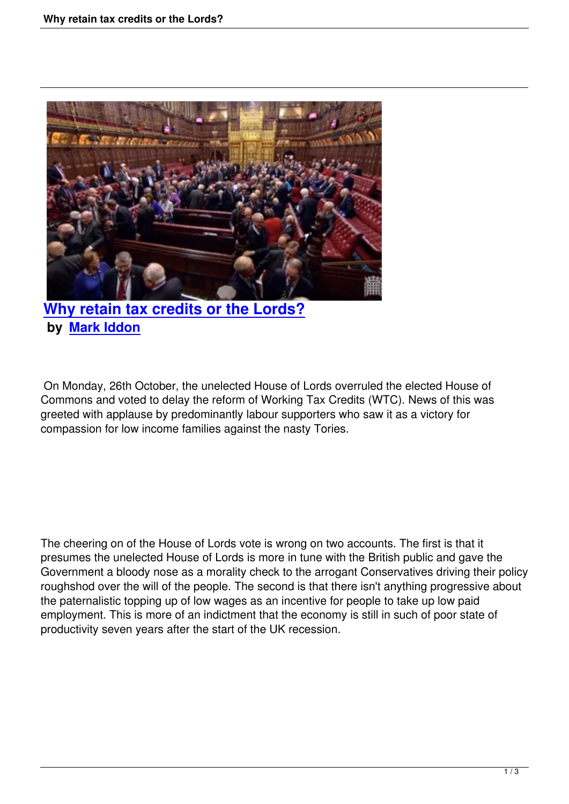

**Why retain tax credits or the Lords? by Mark Iddon**

 On [Monday, 26th O](people.html#mark-iddon)ctober, the unelected House of Lords overruled the elected House of Commons and voted to delay the reform of Working Tax Credits (WTC). News of this was greeted with applause by predominantly labour supporters who saw it as a victory for compassion for low income families against the nasty Tories.

The cheering on of the House of Lords vote is wrong on two accounts. The first is that it presumes the unelected House of Lords is more in tune with the British public and gave the Government a bloody nose as a morality check to the arrogant Conservatives driving their policy roughshod over the will of the people. The second is that there isn't anything progressive about the paternalistic topping up of low wages as an incentive for people to take up low paid employment. This is more of an indictment that the economy is still in such of poor state of productivity seven years after the start of the UK recession.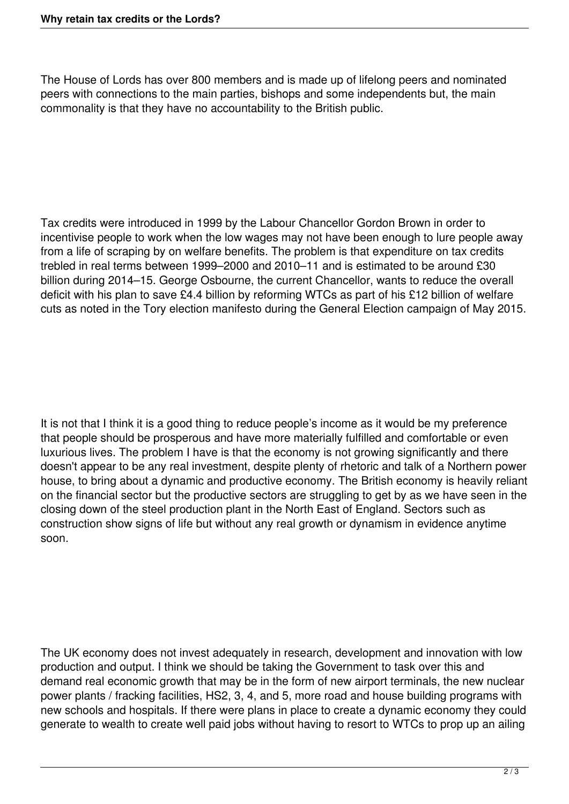The House of Lords has over 800 members and is made up of lifelong peers and nominated peers with connections to the main parties, bishops and some independents but, the main commonality is that they have no accountability to the British public.

Tax credits were introduced in 1999 by the Labour Chancellor Gordon Brown in order to incentivise people to work when the low wages may not have been enough to lure people away from a life of scraping by on welfare benefits. The problem is that expenditure on tax credits trebled in real terms between 1999–2000 and 2010–11 and is estimated to be around £30 billion during 2014–15. George Osbourne, the current Chancellor, wants to reduce the overall deficit with his plan to save £4.4 billion by reforming WTCs as part of his £12 billion of welfare cuts as noted in the Tory election manifesto during the General Election campaign of May 2015.

It is not that I think it is a good thing to reduce people's income as it would be my preference that people should be prosperous and have more materially fulfilled and comfortable or even luxurious lives. The problem I have is that the economy is not growing significantly and there doesn't appear to be any real investment, despite plenty of rhetoric and talk of a Northern power house, to bring about a dynamic and productive economy. The British economy is heavily reliant on the financial sector but the productive sectors are struggling to get by as we have seen in the closing down of the steel production plant in the North East of England. Sectors such as construction show signs of life but without any real growth or dynamism in evidence anytime soon.

The UK economy does not invest adequately in research, development and innovation with low production and output. I think we should be taking the Government to task over this and demand real economic growth that may be in the form of new airport terminals, the new nuclear power plants / fracking facilities, HS2, 3, 4, and 5, more road and house building programs with new schools and hospitals. If there were plans in place to create a dynamic economy they could generate to wealth to create well paid jobs without having to resort to WTCs to prop up an ailing